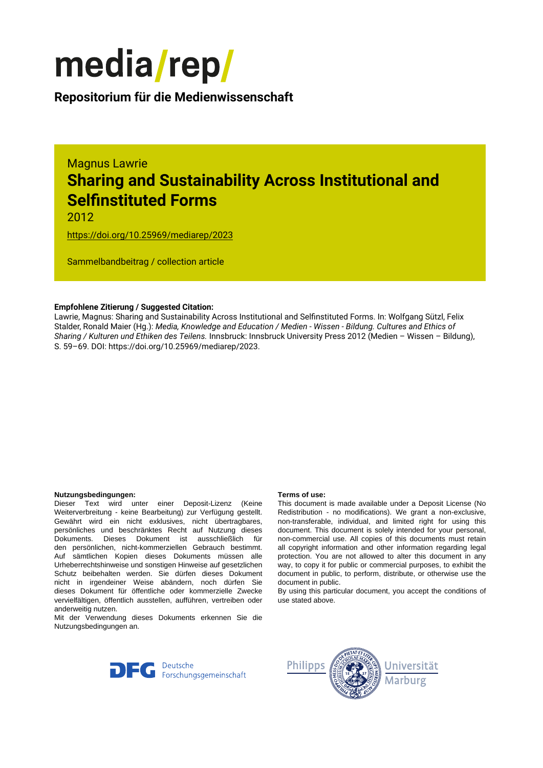

**Repositorium für die [Medienwissenschaft](https://mediarep.org)**

# Magnus Lawrie **Sharing and Sustainability Across Institutional and Selfinstituted Forms**

2012

<https://doi.org/10.25969/mediarep/2023>

Sammelbandbeitrag / collection article

## **Empfohlene Zitierung / Suggested Citation:**

Lawrie, Magnus: Sharing and Sustainability Across Institutional and Selfinstituted Forms. In: Wolfgang Sützl, Felix Stalder, Ronald Maier (Hg.): *Media, Knowledge and Education / Medien - Wissen - Bildung. Cultures and Ethics of Sharing / Kulturen und Ethiken des Teilens.* Innsbruck: Innsbruck University Press 2012 (Medien – Wissen – Bildung), S. 59–69. DOI: https://doi.org/10.25969/mediarep/2023.

## **Nutzungsbedingungen: Terms of use:**

Dieser Text wird unter einer Deposit-Lizenz (Keine Weiterverbreitung - keine Bearbeitung) zur Verfügung gestellt. Gewährt wird ein nicht exklusives, nicht übertragbares, persönliches und beschränktes Recht auf Nutzung dieses Dokuments. Dieses Dokument ist ausschließlich für den persönlichen, nicht-kommerziellen Gebrauch bestimmt. Auf sämtlichen Kopien dieses Dokuments müssen alle Urheberrechtshinweise und sonstigen Hinweise auf gesetzlichen Schutz beibehalten werden. Sie dürfen dieses Dokument nicht in irgendeiner Weise abändern, noch dürfen Sie dieses Dokument für öffentliche oder kommerzielle Zwecke vervielfältigen, öffentlich ausstellen, aufführen, vertreiben oder anderweitig nutzen.

Mit der Verwendung dieses Dokuments erkennen Sie die Nutzungsbedingungen an.

This document is made available under a Deposit License (No Redistribution - no modifications). We grant a non-exclusive, non-transferable, individual, and limited right for using this document. This document is solely intended for your personal, non-commercial use. All copies of this documents must retain all copyright information and other information regarding legal protection. You are not allowed to alter this document in any way, to copy it for public or commercial purposes, to exhibit the document in public, to perform, distribute, or otherwise use the document in public.

By using this particular document, you accept the conditions of use stated above.



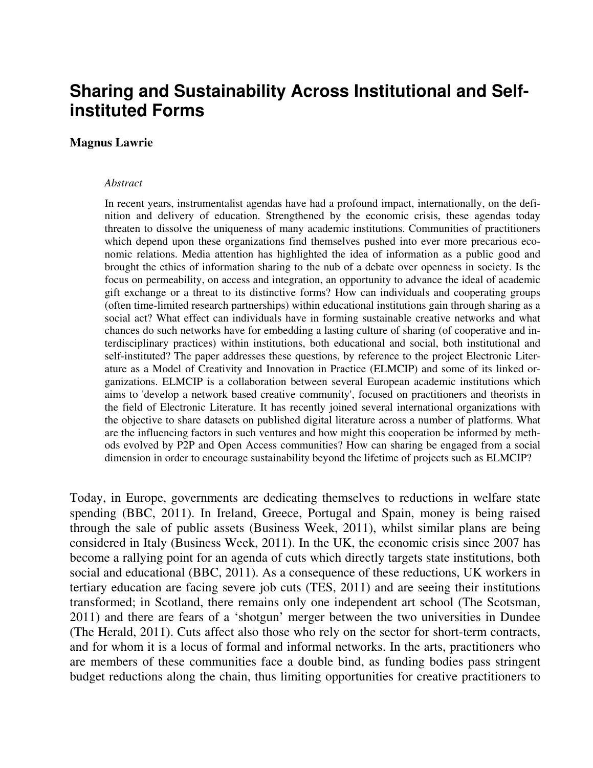## **Sharing and Sustainability Across Institutional and Selfinstituted Forms**

## **Magnus Lawrie**

### *Abstract*

In recent years, instrumentalist agendas have had a profound impact, internationally, on the definition and delivery of education. Strengthened by the economic crisis, these agendas today threaten to dissolve the uniqueness of many academic institutions. Communities of practitioners which depend upon these organizations find themselves pushed into ever more precarious economic relations. Media attention has highlighted the idea of information as a public good and brought the ethics of information sharing to the nub of a debate over openness in society. Is the focus on permeability, on access and integration, an opportunity to advance the ideal of academic gift exchange or a threat to its distinctive forms? How can individuals and cooperating groups (often time-limited research partnerships) within educational institutions gain through sharing as a social act? What effect can individuals have in forming sustainable creative networks and what chances do such networks have for embedding a lasting culture of sharing (of cooperative and interdisciplinary practices) within institutions, both educational and social, both institutional and self-instituted? The paper addresses these questions, by reference to the project Electronic Literature as a Model of Creativity and Innovation in Practice (ELMCIP) and some of its linked organizations. ELMCIP is a collaboration between several European academic institutions which aims to 'develop a network based creative community', focused on practitioners and theorists in the field of Electronic Literature. It has recently joined several international organizations with the objective to share datasets on published digital literature across a number of platforms. What are the influencing factors in such ventures and how might this cooperation be informed by methods evolved by P2P and Open Access communities? How can sharing be engaged from a social dimension in order to encourage sustainability beyond the lifetime of projects such as ELMCIP?

Today, in Europe, governments are dedicating themselves to reductions in welfare state spending (BBC, 2011). In Ireland, Greece, Portugal and Spain, money is being raised through the sale of public assets (Business Week, 2011), whilst similar plans are being considered in Italy (Business Week, 2011). In the UK, the economic crisis since 2007 has become a rallying point for an agenda of cuts which directly targets state institutions, both social and educational (BBC, 2011). As a consequence of these reductions, UK workers in tertiary education are facing severe job cuts (TES, 2011) and are seeing their institutions transformed; in Scotland, there remains only one independent art school (The Scotsman, 2011) and there are fears of a 'shotgun' merger between the two universities in Dundee (The Herald, 2011). Cuts affect also those who rely on the sector for short-term contracts, and for whom it is a locus of formal and informal networks. In the arts, practitioners who are members of these communities face a double bind, as funding bodies pass stringent budget reductions along the chain, thus limiting opportunities for creative practitioners to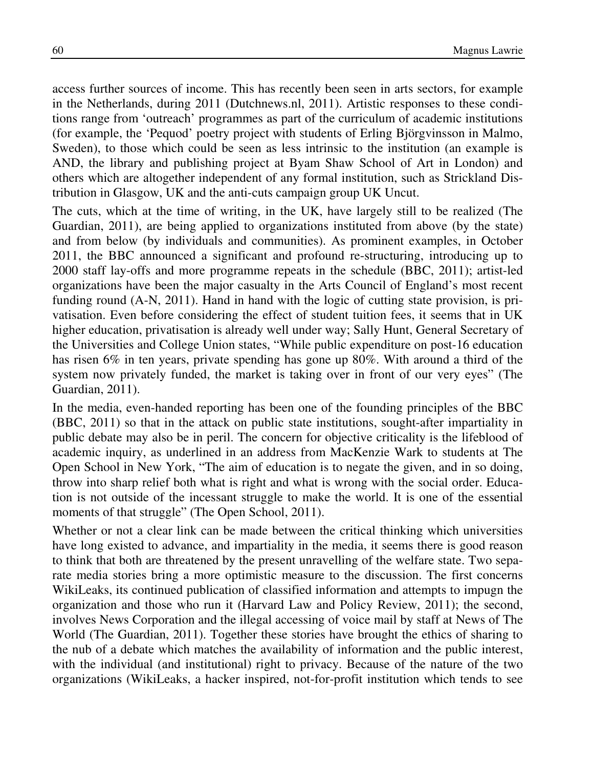access further sources of income. This has recently been seen in arts sectors, for example in the Netherlands, during 2011 (Dutchnews.nl, 2011). Artistic responses to these conditions range from 'outreach' programmes as part of the curriculum of academic institutions (for example, the 'Pequod' poetry project with students of Erling Björgvinsson in Malmo, Sweden), to those which could be seen as less intrinsic to the institution (an example is AND, the library and publishing project at Byam Shaw School of Art in London) and others which are altogether independent of any formal institution, such as Strickland Distribution in Glasgow, UK and the anti-cuts campaign group UK Uncut.

The cuts, which at the time of writing, in the UK, have largely still to be realized (The Guardian, 2011), are being applied to organizations instituted from above (by the state) and from below (by individuals and communities). As prominent examples, in October 2011, the BBC announced a significant and profound re-structuring, introducing up to 2000 staff lay-offs and more programme repeats in the schedule (BBC, 2011); artist-led organizations have been the major casualty in the Arts Council of England's most recent funding round (A-N, 2011). Hand in hand with the logic of cutting state provision, is privatisation. Even before considering the effect of student tuition fees, it seems that in UK higher education, privatisation is already well under way; Sally Hunt, General Secretary of the Universities and College Union states, "While public expenditure on post-16 education has risen 6% in ten years, private spending has gone up 80%. With around a third of the system now privately funded, the market is taking over in front of our very eyes" (The Guardian, 2011).

In the media, even-handed reporting has been one of the founding principles of the BBC (BBC, 2011) so that in the attack on public state institutions, sought-after impartiality in public debate may also be in peril. The concern for objective criticality is the lifeblood of academic inquiry, as underlined in an address from MacKenzie Wark to students at The Open School in New York, "The aim of education is to negate the given, and in so doing, throw into sharp relief both what is right and what is wrong with the social order. Education is not outside of the incessant struggle to make the world. It is one of the essential moments of that struggle" (The Open School, 2011).

Whether or not a clear link can be made between the critical thinking which universities have long existed to advance, and impartiality in the media, it seems there is good reason to think that both are threatened by the present unravelling of the welfare state. Two separate media stories bring a more optimistic measure to the discussion. The first concerns WikiLeaks, its continued publication of classified information and attempts to impugn the organization and those who run it (Harvard Law and Policy Review, 2011); the second, involves News Corporation and the illegal accessing of voice mail by staff at News of The World (The Guardian, 2011). Together these stories have brought the ethics of sharing to the nub of a debate which matches the availability of information and the public interest, with the individual (and institutional) right to privacy. Because of the nature of the two organizations (WikiLeaks, a hacker inspired, not-for-profit institution which tends to see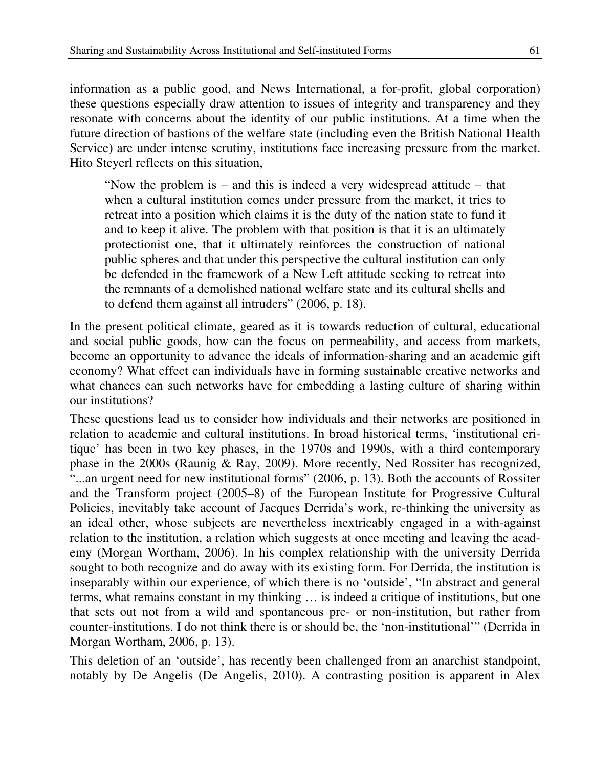information as a public good, and News International, a for-profit, global corporation) these questions especially draw attention to issues of integrity and transparency and they resonate with concerns about the identity of our public institutions. At a time when the future direction of bastions of the welfare state (including even the British National Health Service) are under intense scrutiny, institutions face increasing pressure from the market. Hito Steyerl reflects on this situation,

"Now the problem is – and this is indeed a very widespread attitude – that when a cultural institution comes under pressure from the market, it tries to retreat into a position which claims it is the duty of the nation state to fund it and to keep it alive. The problem with that position is that it is an ultimately protectionist one, that it ultimately reinforces the construction of national public spheres and that under this perspective the cultural institution can only be defended in the framework of a New Left attitude seeking to retreat into the remnants of a demolished national welfare state and its cultural shells and to defend them against all intruders" (2006, p. 18).

In the present political climate, geared as it is towards reduction of cultural, educational and social public goods, how can the focus on permeability, and access from markets, become an opportunity to advance the ideals of information-sharing and an academic gift economy? What effect can individuals have in forming sustainable creative networks and what chances can such networks have for embedding a lasting culture of sharing within our institutions?

These questions lead us to consider how individuals and their networks are positioned in relation to academic and cultural institutions. In broad historical terms, 'institutional critique' has been in two key phases, in the 1970s and 1990s, with a third contemporary phase in the 2000s (Raunig & Ray, 2009). More recently, Ned Rossiter has recognized, "...an urgent need for new institutional forms" (2006, p. 13). Both the accounts of Rossiter and the Transform project (2005–8) of the European Institute for Progressive Cultural Policies, inevitably take account of Jacques Derrida's work, re-thinking the university as an ideal other, whose subjects are nevertheless inextricably engaged in a with-against relation to the institution, a relation which suggests at once meeting and leaving the academy (Morgan Wortham, 2006). In his complex relationship with the university Derrida sought to both recognize and do away with its existing form. For Derrida, the institution is inseparably within our experience, of which there is no 'outside', "In abstract and general terms, what remains constant in my thinking … is indeed a critique of institutions, but one that sets out not from a wild and spontaneous pre- or non-institution, but rather from counter-institutions. I do not think there is or should be, the 'non-institutional'" (Derrida in Morgan Wortham, 2006, p. 13).

This deletion of an 'outside', has recently been challenged from an anarchist standpoint, notably by De Angelis (De Angelis, 2010). A contrasting position is apparent in Alex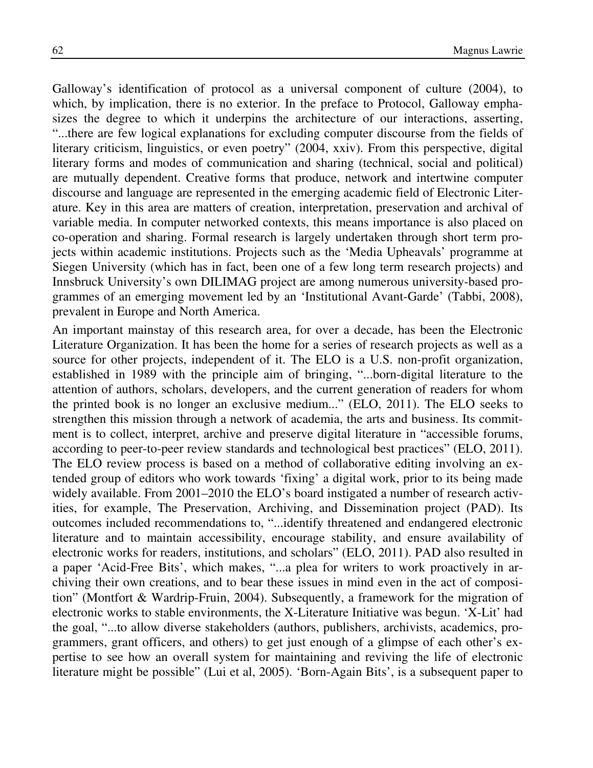Galloway's identification of protocol as a universal component of culture (2004), to which, by implication, there is no exterior. In the preface to Protocol, Galloway emphasizes the degree to which it underpins the architecture of our interactions, asserting, "...there are few logical explanations for excluding computer discourse from the fields of literary criticism, linguistics, or even poetry" (2004, xxiv). From this perspective, digital literary forms and modes of communication and sharing (technical, social and political) are mutually dependent. Creative forms that produce, network and intertwine computer discourse and language are represented in the emerging academic field of Electronic Literature. Key in this area are matters of creation, interpretation, preservation and archival of variable media. In computer networked contexts, this means importance is also placed on co-operation and sharing. Formal research is largely undertaken through short term projects within academic institutions. Projects such as the 'Media Upheavals' programme at Siegen University (which has in fact, been one of a few long term research projects) and Innsbruck University's own DILIMAG project are among numerous university-based programmes of an emerging movement led by an 'Institutional Avant-Garde' (Tabbi, 2008), prevalent in Europe and North America.

An important mainstay of this research area, for over a decade, has been the Electronic Literature Organization. It has been the home for a series of research projects as well as a source for other projects, independent of it. The ELO is a U.S. non-profit organization, established in 1989 with the principle aim of bringing, "...born-digital literature to the attention of authors, scholars, developers, and the current generation of readers for whom the printed book is no longer an exclusive medium..." (ELO, 2011). The ELO seeks to strengthen this mission through a network of academia, the arts and business. Its commitment is to collect, interpret, archive and preserve digital literature in "accessible forums, according to peer-to-peer review standards and technological best practices" (ELO, 2011). The ELO review process is based on a method of collaborative editing involving an extended group of editors who work towards 'fixing' a digital work, prior to its being made widely available. From 2001–2010 the ELO's board instigated a number of research activities, for example, The Preservation, Archiving, and Dissemination project (PAD). Its outcomes included recommendations to, "...identify threatened and endangered electronic literature and to maintain accessibility, encourage stability, and ensure availability of electronic works for readers, institutions, and scholars" (ELO, 2011). PAD also resulted in a paper 'Acid-Free Bits', which makes, "...a plea for writers to work proactively in archiving their own creations, and to bear these issues in mind even in the act of composition" (Montfort & Wardrip-Fruin, 2004). Subsequently, a framework for the migration of electronic works to stable environments, the X-Literature Initiative was begun. 'X-Lit' had the goal, "...to allow diverse stakeholders (authors, publishers, archivists, academics, programmers, grant officers, and others) to get just enough of a glimpse of each other's expertise to see how an overall system for maintaining and reviving the life of electronic literature might be possible" (Lui et al, 2005). 'Born-Again Bits', is a subsequent paper to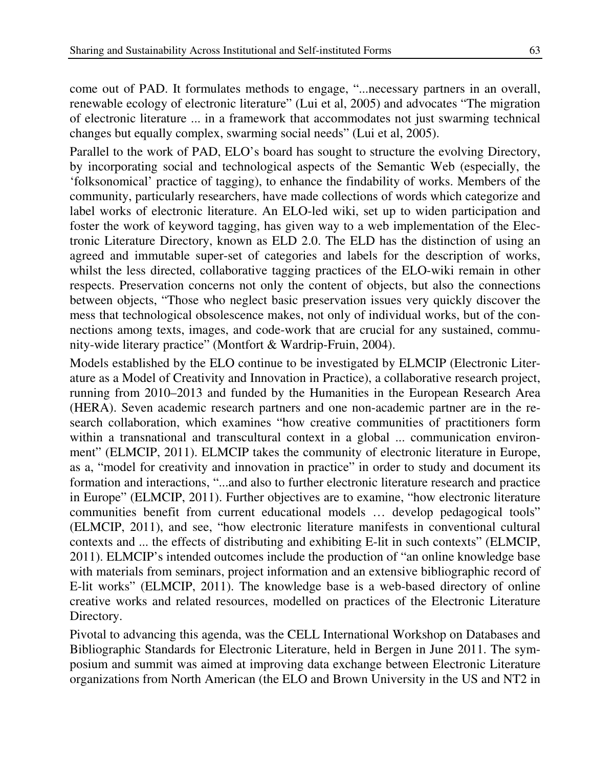come out of PAD. It formulates methods to engage, "...necessary partners in an overall, renewable ecology of electronic literature" (Lui et al, 2005) and advocates "The migration of electronic literature ... in a framework that accommodates not just swarming technical changes but equally complex, swarming social needs" (Lui et al, 2005).

Parallel to the work of PAD, ELO's board has sought to structure the evolving Directory, by incorporating social and technological aspects of the Semantic Web (especially, the 'folksonomical' practice of tagging), to enhance the findability of works. Members of the community, particularly researchers, have made collections of words which categorize and label works of electronic literature. An ELO-led wiki, set up to widen participation and foster the work of keyword tagging, has given way to a web implementation of the Electronic Literature Directory, known as ELD 2.0. The ELD has the distinction of using an agreed and immutable super-set of categories and labels for the description of works, whilst the less directed, collaborative tagging practices of the ELO-wiki remain in other respects. Preservation concerns not only the content of objects, but also the connections between objects, "Those who neglect basic preservation issues very quickly discover the mess that technological obsolescence makes, not only of individual works, but of the connections among texts, images, and code-work that are crucial for any sustained, community-wide literary practice" (Montfort & Wardrip-Fruin, 2004).

Models established by the ELO continue to be investigated by ELMCIP (Electronic Literature as a Model of Creativity and Innovation in Practice), a collaborative research project, running from 2010–2013 and funded by the Humanities in the European Research Area (HERA). Seven academic research partners and one non-academic partner are in the research collaboration, which examines "how creative communities of practitioners form within a transnational and transcultural context in a global ... communication environment" (ELMCIP, 2011). ELMCIP takes the community of electronic literature in Europe, as a, "model for creativity and innovation in practice" in order to study and document its formation and interactions, "...and also to further electronic literature research and practice in Europe" (ELMCIP, 2011). Further objectives are to examine, "how electronic literature communities benefit from current educational models … develop pedagogical tools" (ELMCIP, 2011), and see, "how electronic literature manifests in conventional cultural contexts and ... the effects of distributing and exhibiting E-lit in such contexts" (ELMCIP, 2011). ELMCIP's intended outcomes include the production of "an online knowledge base with materials from seminars, project information and an extensive bibliographic record of E-lit works" (ELMCIP, 2011). The knowledge base is a web-based directory of online creative works and related resources, modelled on practices of the Electronic Literature Directory.

Pivotal to advancing this agenda, was the CELL International Workshop on Databases and Bibliographic Standards for Electronic Literature, held in Bergen in June 2011. The symposium and summit was aimed at improving data exchange between Electronic Literature organizations from North American (the ELO and Brown University in the US and NT2 in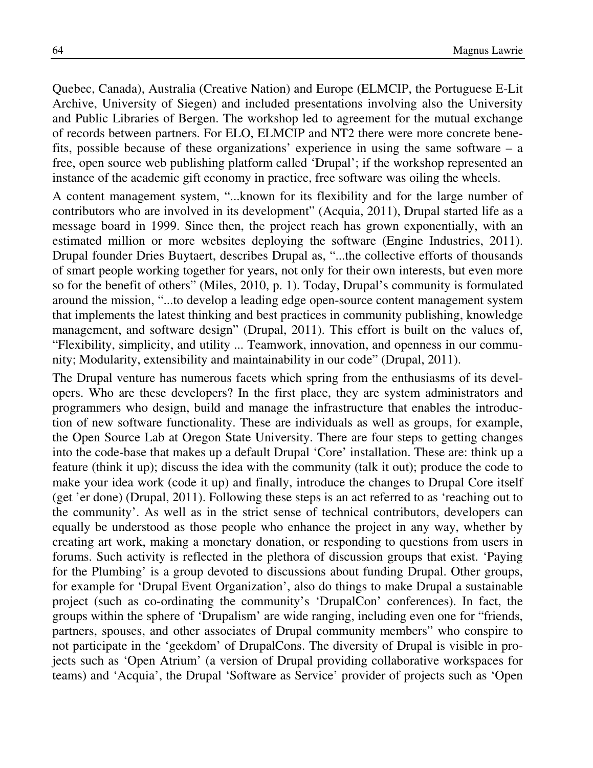Quebec, Canada), Australia (Creative Nation) and Europe (ELMCIP, the Portuguese E-Lit Archive, University of Siegen) and included presentations involving also the University and Public Libraries of Bergen. The workshop led to agreement for the mutual exchange of records between partners. For ELO, ELMCIP and NT2 there were more concrete benefits, possible because of these organizations' experience in using the same software – a free, open source web publishing platform called 'Drupal'; if the workshop represented an instance of the academic gift economy in practice, free software was oiling the wheels.

A content management system, "...known for its flexibility and for the large number of contributors who are involved in its development" (Acquia, 2011), Drupal started life as a message board in 1999. Since then, the project reach has grown exponentially, with an estimated million or more websites deploying the software (Engine Industries, 2011). Drupal founder Dries Buytaert, describes Drupal as, "...the collective efforts of thousands of smart people working together for years, not only for their own interests, but even more so for the benefit of others" (Miles, 2010, p. 1). Today, Drupal's community is formulated around the mission, "...to develop a leading edge open-source content management system that implements the latest thinking and best practices in community publishing, knowledge management, and software design" (Drupal, 2011). This effort is built on the values of, "Flexibility, simplicity, and utility ... Teamwork, innovation, and openness in our community; Modularity, extensibility and maintainability in our code" (Drupal, 2011).

The Drupal venture has numerous facets which spring from the enthusiasms of its developers. Who are these developers? In the first place, they are system administrators and programmers who design, build and manage the infrastructure that enables the introduction of new software functionality. These are individuals as well as groups, for example, the Open Source Lab at Oregon State University. There are four steps to getting changes into the code-base that makes up a default Drupal 'Core' installation. These are: think up a feature (think it up); discuss the idea with the community (talk it out); produce the code to make your idea work (code it up) and finally, introduce the changes to Drupal Core itself (get 'er done) (Drupal, 2011). Following these steps is an act referred to as 'reaching out to the community'. As well as in the strict sense of technical contributors, developers can equally be understood as those people who enhance the project in any way, whether by creating art work, making a monetary donation, or responding to questions from users in forums. Such activity is reflected in the plethora of discussion groups that exist. 'Paying for the Plumbing' is a group devoted to discussions about funding Drupal. Other groups, for example for 'Drupal Event Organization', also do things to make Drupal a sustainable project (such as co-ordinating the community's 'DrupalCon' conferences). In fact, the groups within the sphere of 'Drupalism' are wide ranging, including even one for "friends, partners, spouses, and other associates of Drupal community members" who conspire to not participate in the 'geekdom' of DrupalCons. The diversity of Drupal is visible in projects such as 'Open Atrium' (a version of Drupal providing collaborative workspaces for teams) and 'Acquia', the Drupal 'Software as Service' provider of projects such as 'Open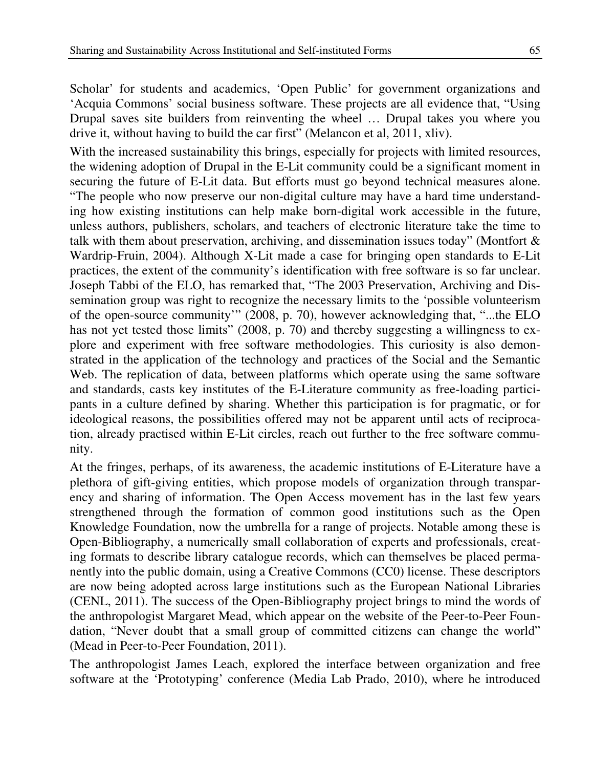Scholar' for students and academics, 'Open Public' for government organizations and 'Acquia Commons' social business software. These projects are all evidence that, "Using Drupal saves site builders from reinventing the wheel … Drupal takes you where you drive it, without having to build the car first" (Melancon et al, 2011, xliv).

With the increased sustainability this brings, especially for projects with limited resources, the widening adoption of Drupal in the E-Lit community could be a significant moment in securing the future of E-Lit data. But efforts must go beyond technical measures alone. "The people who now preserve our non-digital culture may have a hard time understanding how existing institutions can help make born-digital work accessible in the future, unless authors, publishers, scholars, and teachers of electronic literature take the time to talk with them about preservation, archiving, and dissemination issues today" (Montfort & Wardrip-Fruin, 2004). Although X-Lit made a case for bringing open standards to E-Lit practices, the extent of the community's identification with free software is so far unclear. Joseph Tabbi of the ELO, has remarked that, "The 2003 Preservation, Archiving and Dissemination group was right to recognize the necessary limits to the 'possible volunteerism of the open-source community'" (2008, p. 70), however acknowledging that, "...the ELO has not yet tested those limits" (2008, p. 70) and thereby suggesting a willingness to explore and experiment with free software methodologies. This curiosity is also demonstrated in the application of the technology and practices of the Social and the Semantic Web. The replication of data, between platforms which operate using the same software and standards, casts key institutes of the E-Literature community as free-loading participants in a culture defined by sharing. Whether this participation is for pragmatic, or for ideological reasons, the possibilities offered may not be apparent until acts of reciprocation, already practised within E-Lit circles, reach out further to the free software community.

At the fringes, perhaps, of its awareness, the academic institutions of E-Literature have a plethora of gift-giving entities, which propose models of organization through transparency and sharing of information. The Open Access movement has in the last few years strengthened through the formation of common good institutions such as the Open Knowledge Foundation, now the umbrella for a range of projects. Notable among these is Open-Bibliography, a numerically small collaboration of experts and professionals, creating formats to describe library catalogue records, which can themselves be placed permanently into the public domain, using a Creative Commons (CC0) license. These descriptors are now being adopted across large institutions such as the European National Libraries (CENL, 2011). The success of the Open-Bibliography project brings to mind the words of the anthropologist Margaret Mead, which appear on the website of the Peer-to-Peer Foundation, "Never doubt that a small group of committed citizens can change the world" (Mead in Peer-to-Peer Foundation, 2011).

The anthropologist James Leach, explored the interface between organization and free software at the 'Prototyping' conference (Media Lab Prado, 2010), where he introduced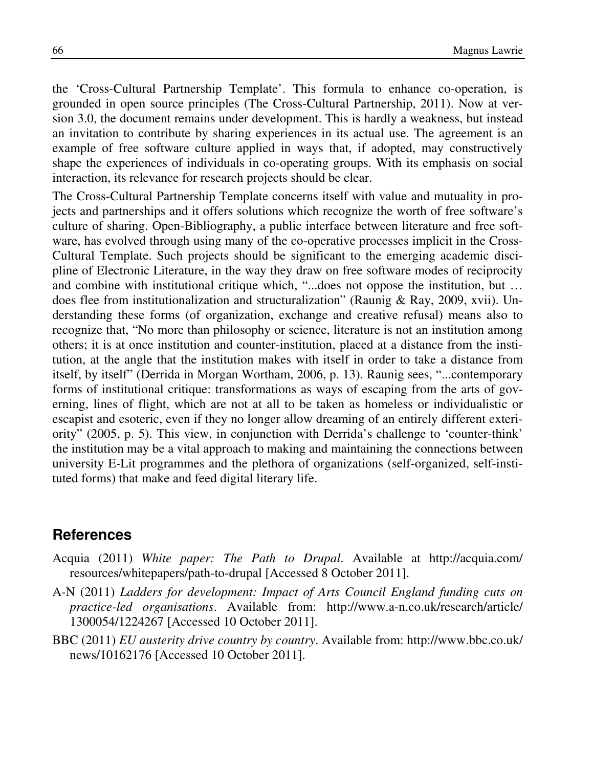the 'Cross-Cultural Partnership Template'. This formula to enhance co-operation, is grounded in open source principles (The Cross-Cultural Partnership, 2011). Now at version 3.0, the document remains under development. This is hardly a weakness, but instead an invitation to contribute by sharing experiences in its actual use. The agreement is an example of free software culture applied in ways that, if adopted, may constructively shape the experiences of individuals in co-operating groups. With its emphasis on social interaction, its relevance for research projects should be clear.

The Cross-Cultural Partnership Template concerns itself with value and mutuality in projects and partnerships and it offers solutions which recognize the worth of free software's culture of sharing. Open-Bibliography, a public interface between literature and free software, has evolved through using many of the co-operative processes implicit in the Cross-Cultural Template. Such projects should be significant to the emerging academic discipline of Electronic Literature, in the way they draw on free software modes of reciprocity and combine with institutional critique which, "...does not oppose the institution, but … does flee from institutionalization and structuralization" (Raunig & Ray, 2009, xvii). Understanding these forms (of organization, exchange and creative refusal) means also to recognize that, "No more than philosophy or science, literature is not an institution among others; it is at once institution and counter-institution, placed at a distance from the institution, at the angle that the institution makes with itself in order to take a distance from itself, by itself" (Derrida in Morgan Wortham, 2006, p. 13). Raunig sees, "...contemporary forms of institutional critique: transformations as ways of escaping from the arts of governing, lines of flight, which are not at all to be taken as homeless or individualistic or escapist and esoteric, even if they no longer allow dreaming of an entirely different exteriority" (2005, p. 5). This view, in conjunction with Derrida's challenge to 'counter-think' the institution may be a vital approach to making and maintaining the connections between university E-Lit programmes and the plethora of organizations (self-organized, self-instituted forms) that make and feed digital literary life.

## **References**

- Acquia (2011) *White paper: The Path to Drupal*. Available at http://acquia.com/ resources/whitepapers/path-to-drupal [Accessed 8 October 2011].
- A-N (2011) *Ladders for development: Impact of Arts Council England funding cuts on practice-led organisations*. Available from: http://www.a-n.co.uk/research/article/ 1300054/1224267 [Accessed 10 October 2011].
- BBC (2011) *EU austerity drive country by country*. Available from: http://www.bbc.co.uk/ news/10162176 [Accessed 10 October 2011].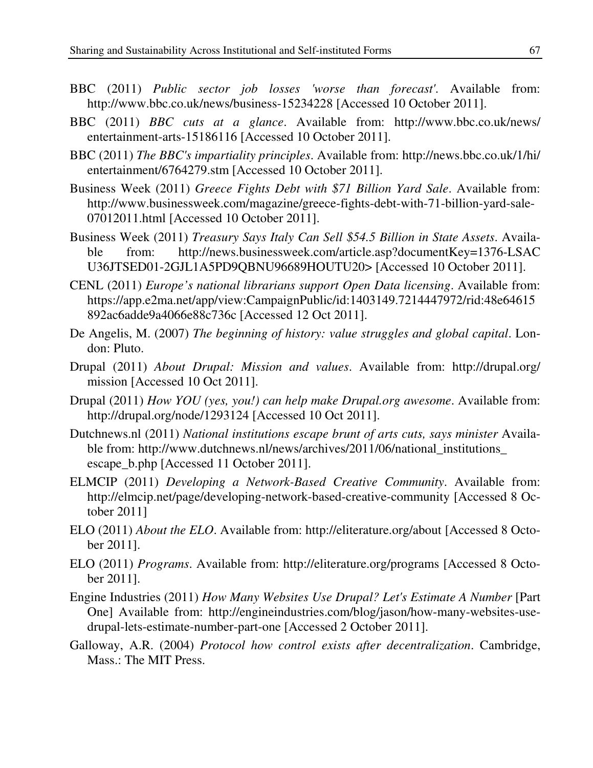- BBC (2011) *Public sector job losses 'worse than forecast'*. Available from: http://www.bbc.co.uk/news/business-15234228 [Accessed 10 October 2011].
- BBC (2011) *BBC cuts at a glance*. Available from: http://www.bbc.co.uk/news/ entertainment-arts-15186116 [Accessed 10 October 2011].
- BBC (2011) *The BBC's impartiality principles*. Available from: http://news.bbc.co.uk/1/hi/ entertainment/6764279.stm [Accessed 10 October 2011].
- Business Week (2011) *Greece Fights Debt with \$71 Billion Yard Sale*. Available from: http://www.businessweek.com/magazine/greece-fights-debt-with-71-billion-yard-sale-07012011.html [Accessed 10 October 2011].
- Business Week (2011) *Treasury Says Italy Can Sell \$54.5 Billion in State Assets*. Available from: http://news.businessweek.com/article.asp?documentKey=1376-LSAC U36JTSED01-2GJL1A5PD9QBNU96689HOUTU20> [Accessed 10 October 2011].
- CENL (2011) *Europe's national librarians support Open Data licensing*. Available from: https://app.e2ma.net/app/view:CampaignPublic/id:1403149.7214447972/rid:48e64615 892ac6adde9a4066e88c736c [Accessed 12 Oct 2011].
- De Angelis, M. (2007) *The beginning of history: value struggles and global capital*. London: Pluto.
- Drupal (2011) *About Drupal: Mission and values*. Available from: http://drupal.org/ mission [Accessed 10 Oct 2011].
- Drupal (2011) *How YOU (yes, you!) can help make Drupal.org awesome*. Available from: http://drupal.org/node/1293124 [Accessed 10 Oct 2011].
- Dutchnews.nl (2011) *National institutions escape brunt of arts cuts, says minister* Available from: http://www.dutchnews.nl/news/archives/2011/06/national\_institutions\_ escape\_b.php [Accessed 11 October 2011].
- ELMCIP (2011) *Developing a Network-Based Creative Community*. Available from: http://elmcip.net/page/developing-network-based-creative-community [Accessed 8 October 2011]
- ELO (2011) *About the ELO*. Available from: http://eliterature.org/about [Accessed 8 October 2011].
- ELO (2011) *Programs*. Available from: http://eliterature.org/programs [Accessed 8 October 2011].
- Engine Industries (2011) *How Many Websites Use Drupal? Let's Estimate A Number* [Part One] Available from: http://engineindustries.com/blog/jason/how-many-websites-usedrupal-lets-estimate-number-part-one [Accessed 2 October 2011].
- Galloway, A.R. (2004) *Protocol how control exists after decentralization*. Cambridge, Mass.: The MIT Press.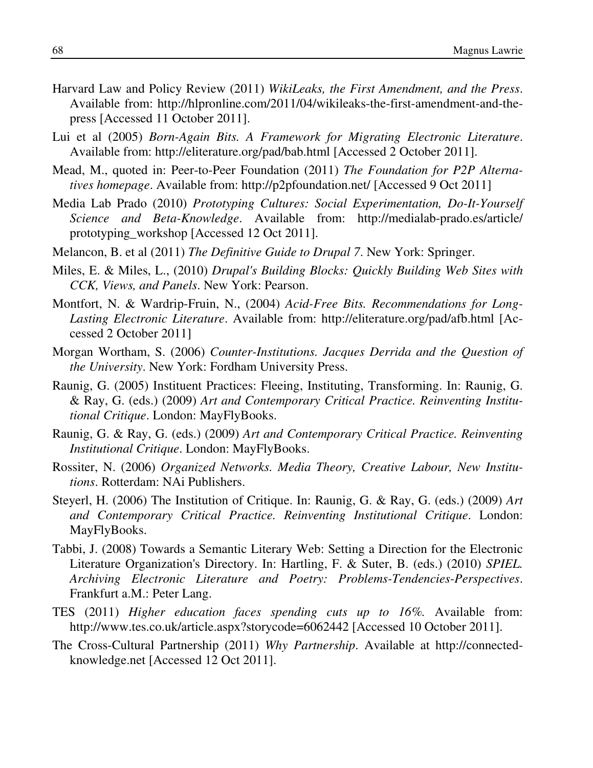- Harvard Law and Policy Review (2011) *WikiLeaks, the First Amendment, and the Press*. Available from: http://hlpronline.com/2011/04/wikileaks-the-first-amendment-and-thepress [Accessed 11 October 2011].
- Lui et al (2005) *Born-Again Bits. A Framework for Migrating Electronic Literature*. Available from: http://eliterature.org/pad/bab.html [Accessed 2 October 2011].
- Mead, M., quoted in: Peer-to-Peer Foundation (2011) *The Foundation for P2P Alternatives homepage*. Available from: http://p2pfoundation.net/ [Accessed 9 Oct 2011]
- Media Lab Prado (2010) *Prototyping Cultures: Social Experimentation, Do-It-Yourself Science and Beta-Knowledge*. Available from: http://medialab-prado.es/article/ prototyping\_workshop [Accessed 12 Oct 2011].
- Melancon, B. et al (2011) *The Definitive Guide to Drupal 7*. New York: Springer.
- Miles, E. & Miles, L., (2010) *Drupal's Building Blocks: Quickly Building Web Sites with CCK, Views, and Panels*. New York: Pearson.
- Montfort, N. & Wardrip-Fruin, N., (2004) *Acid-Free Bits. Recommendations for Long-Lasting Electronic Literature*. Available from: http://eliterature.org/pad/afb.html [Accessed 2 October 2011]
- Morgan Wortham, S. (2006) *Counter-Institutions. Jacques Derrida and the Question of the University*. New York: Fordham University Press.
- Raunig, G. (2005) Instituent Practices: Fleeing, Instituting, Transforming. In: Raunig, G. & Ray, G. (eds.) (2009) *Art and Contemporary Critical Practice. Reinventing Institutional Critique*. London: MayFlyBooks.
- Raunig, G. & Ray, G. (eds.) (2009) *Art and Contemporary Critical Practice. Reinventing Institutional Critique*. London: MayFlyBooks.
- Rossiter, N. (2006) *Organized Networks. Media Theory, Creative Labour, New Institutions*. Rotterdam: NAi Publishers.
- Steyerl, H. (2006) The Institution of Critique. In: Raunig, G. & Ray, G. (eds.) (2009) *Art and Contemporary Critical Practice. Reinventing Institutional Critique*. London: MayFlyBooks.
- Tabbi, J. (2008) Towards a Semantic Literary Web: Setting a Direction for the Electronic Literature Organization's Directory. In: Hartling, F. & Suter, B. (eds.) (2010) *SPIEL. Archiving Electronic Literature and Poetry: Problems-Tendencies-Perspectives*. Frankfurt a.M.: Peter Lang.
- TES (2011) *Higher education faces spending cuts up to 16%.* Available from: http://www.tes.co.uk/article.aspx?storycode=6062442 [Accessed 10 October 2011].
- The Cross-Cultural Partnership (2011) *Why Partnership*. Available at http://connectedknowledge.net [Accessed 12 Oct 2011].